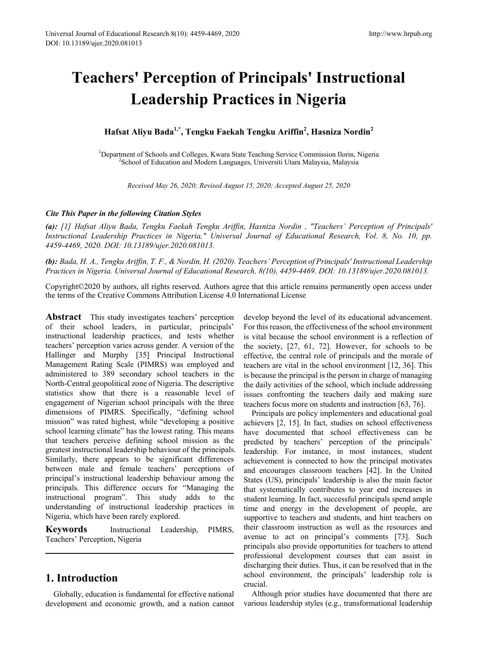# **Teachers' Perception of Principals' Instructional Leadership Practices in Nigeria**

# **Hafsat Aliyu Bada1,\*, Tengku Faekah Tengku Ariffin<sup>2</sup> , Hasniza Nordin<sup>2</sup>**

<sup>1</sup>Department of Schools and Colleges, Kwara State Teaching Service Commission Ilorin, Nigeria<br><sup>2</sup>School of Education and Modern Languages, Universiti Utara Malaysia, Malaysia <sup>2</sup>School of Education and Modern Languages, Universiti Utara Malaysia, Malaysia

*Received May 26, 2020; Revised August 15, 2020; Accepted August 25, 2020*

## *Cite This Paper in the following Citation Styles*

*(a): [1] Hafsat Aliyu Bada, Tengku Faekah Tengku Ariffin, Hasniza Nordin , "Teachers' Perception of Principals' Instructional Leadership Practices in Nigeria," Universal Journal of Educational Research, Vol. 8, No. 10, pp. 4459-4469, 2020. DOI: 10.13189/ujer.2020.081013.* 

*(b): Bada, H. A., Tengku Ariffin, T. F., & Nordin, H. (2020). Teachers' Perception of Principals' Instructional Leadership Practices in Nigeria. Universal Journal of Educational Research, 8(10), 4459-4469. DOI: 10.13189/ujer.2020.081013.* 

Copyright©2020 by authors, all rights reserved. Authors agree that this article remains permanently open access under the terms of the Creative Commons Attribution License 4.0 International License

**Abstract** This study investigates teachers' perception of their school leaders, in particular, principals' instructional leadership practices, and tests whether teachers' perception varies across gender. A version of the Hallinger and Murphy [35] Principal Instructional Management Rating Scale (PIMRS) was employed and administered to 389 secondary school teachers in the North-Central geopolitical zone of Nigeria. The descriptive statistics show that there is a reasonable level of engagement of Nigerian school principals with the three dimensions of PIMRS. Specifically, "defining school mission" was rated highest, while "developing a positive school learning climate" has the lowest rating. This means that teachers perceive defining school mission as the greatest instructional leadership behaviour of the principals. Similarly, there appears to be significant differences between male and female teachers' perceptions of principal's instructional leadership behaviour among the principals. This difference occurs for "Managing the instructional program". This study adds to the understanding of instructional leadership practices in Nigeria, which have been rarely explored.

**Keywords** Instructional Leadership, PIMRS, Teachers' Perception, Nigeria

## **1. Introduction**

Globally, education is fundamental for effective national development and economic growth, and a nation cannot develop beyond the level of its educational advancement. For this reason, the effectiveness of the school environment is vital because the school environment is a reflection of the society, [27, 61, 72]. However, for schools to be effective, the central role of principals and the morale of teachers are vital in the school environment [12, 36]. This is because the principal is the person in charge of managing the daily activities of the school, which include addressing issues confronting the teachers daily and making sure teachers focus more on students and instruction [63, 76].

Principals are policy implementers and educational goal achievers [2, 15]. In fact, studies on school effectiveness have documented that school effectiveness can be predicted by teachers' perception of the principals' leadership. For instance, in most instances, student achievement is connected to how the principal motivates and encourages classroom teachers [42]. In the United States (US), principals' leadership is also the main factor that systematically contributes to year end increases in student learning. In fact, successful principals spend ample time and energy in the development of people, are supportive to teachers and students, and hint teachers on their classroom instruction as well as the resources and avenue to act on principal's comments [73]. Such principals also provide opportunities for teachers to attend professional development courses that can assist in discharging their duties. Thus, it can be resolved that in the school environment, the principals' leadership role is crucial.

Although prior studies have documented that there are various leadership styles (e.g., transformational leadership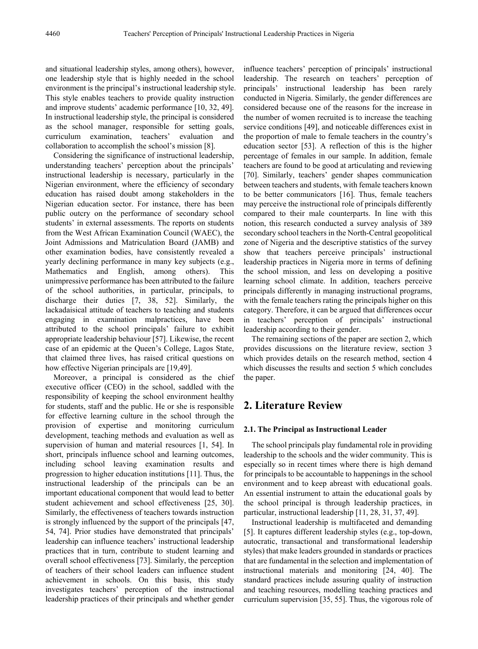and situational leadership styles, among others), however, one leadership style that is highly needed in the school environment is the principal's instructional leadership style. This style enables teachers to provide quality instruction and improve students' academic performance [10, 32, 49]. In instructional leadership style, the principal is considered as the school manager, responsible for setting goals, curriculum examination, teachers' evaluation and collaboration to accomplish the school's mission [8].

Considering the significance of instructional leadership, understanding teachers' perception about the principals' instructional leadership is necessary, particularly in the Nigerian environment, where the efficiency of secondary education has raised doubt among stakeholders in the Nigerian education sector. For instance, there has been public outcry on the performance of secondary school students' in external assessments. The reports on students from the West African Examination Council (WAEC), the Joint Admissions and Matriculation Board (JAMB) and other examination bodies, have consistently revealed a yearly declining performance in many key subjects (e.g., Mathematics and English, among others). This unimpressive performance has been attributed to the failure of the school authorities, in particular, principals, to discharge their duties [7, 38, 52]. Similarly, the lackadaisical attitude of teachers to teaching and students engaging in examination malpractices, have been attributed to the school principals' failure to exhibit appropriate leadership behaviour [57]. Likewise, the recent case of an epidemic at the Queen's College, Lagos State, that claimed three lives, has raised critical questions on how effective Nigerian principals are [19,49].

Moreover, a principal is considered as the chief executive officer (CEO) in the school, saddled with the responsibility of keeping the school environment healthy for students, staff and the public. He or she is responsible for effective learning culture in the school through the provision of expertise and monitoring curriculum development, teaching methods and evaluation as well as supervision of human and material resources [1, 54]. In short, principals influence school and learning outcomes, including school leaving examination results and progression to higher education institutions [11]. Thus, the instructional leadership of the principals can be an important educational component that would lead to better student achievement and school effectiveness [25, 30]. Similarly, the effectiveness of teachers towards instruction is strongly influenced by the support of the principals [47, 54, 74]. Prior studies have demonstrated that principals' leadership can influence teachers' instructional leadership practices that in turn, contribute to student learning and overall school effectiveness [73]. Similarly, the perception of teachers of their school leaders can influence student achievement in schools. On this basis, this study investigates teachers' perception of the instructional leadership practices of their principals and whether gender

influence teachers' perception of principals' instructional leadership. The research on teachers' perception of principals' instructional leadership has been rarely conducted in Nigeria. Similarly, the gender differences are considered because one of the reasons for the increase in the number of women recruited is to increase the teaching service conditions [49], and noticeable differences exist in the proportion of male to female teachers in the country's education sector [53]. A reflection of this is the higher percentage of females in our sample. In addition, female teachers are found to be good at articulating and reviewing [70]. Similarly, teachers' gender shapes communication between teachers and students, with female teachers known to be better communicators [16]. Thus, female teachers may perceive the instructional role of principals differently compared to their male counterparts. In line with this notion, this research conducted a survey analysis of 389 secondary school teachers in the North-Central geopolitical zone of Nigeria and the descriptive statistics of the survey show that teachers perceive principals' instructional leadership practices in Nigeria more in terms of defining the school mission, and less on developing a positive learning school climate. In addition, teachers perceive principals differently in managing instructional programs, with the female teachers rating the principals higher on this category. Therefore, it can be argued that differences occur in teachers' perception of principals' instructional leadership according to their gender.

The remaining sections of the paper are section 2, which provides discussions on the literature review, section 3 which provides details on the research method, section 4 which discusses the results and section 5 which concludes the paper.

# **2. Literature Review**

#### **2.1. The Principal as Instructional Leader**

The school principals play fundamental role in providing leadership to the schools and the wider community. This is especially so in recent times where there is high demand for principals to be accountable to happenings in the school environment and to keep abreast with educational goals. An essential instrument to attain the educational goals by the school principal is through leadership practices, in particular, instructional leadership [11, 28, 31, 37, 49].

Instructional leadership is multifaceted and demanding [5]. It captures different leadership styles (e.g., top-down, autocratic, transactional and transformational leadership styles) that make leaders grounded in standards or practices that are fundamental in the selection and implementation of instructional materials and monitoring [24, 40]. The standard practices include assuring quality of instruction and teaching resources, modelling teaching practices and curriculum supervision [35, 55]. Thus, the vigorous role of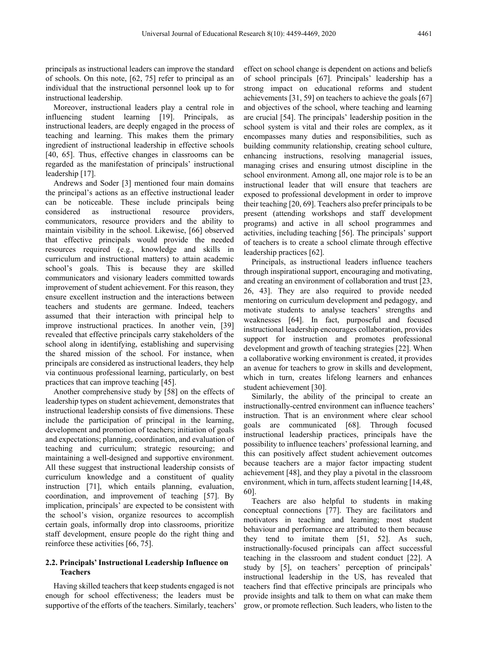principals as instructional leaders can improve the standard of schools. On this note, [62, 75] refer to principal as an individual that the instructional personnel look up to for instructional leadership.

Moreover, instructional leaders play a central role in influencing student learning [19]. Principals, as instructional leaders, are deeply engaged in the process of teaching and learning. This makes them the primary ingredient of instructional leadership in effective schools [40, 65]. Thus, effective changes in classrooms can be regarded as the manifestation of principals' instructional leadership [17].

Andrews and Soder [3] mentioned four main domains the principal's actions as an effective instructional leader can be noticeable. These include principals being considered as instructional resource providers, communicators, resource providers and the ability to maintain visibility in the school. Likewise, [66] observed that effective principals would provide the needed resources required (e.g., knowledge and skills in curriculum and instructional matters) to attain academic school's goals. This is because they are skilled communicators and visionary leaders committed towards improvement of student achievement. For this reason, they ensure excellent instruction and the interactions between teachers and students are germane. Indeed, teachers assumed that their interaction with principal help to improve instructional practices. In another vein, [39] revealed that effective principals carry stakeholders of the school along in identifying, establishing and supervising the shared mission of the school. For instance, when principals are considered as instructional leaders, they help via continuous professional learning, particularly, on best practices that can improve teaching [45].

Another comprehensive study by [58] on the effects of leadership types on student achievement, demonstrates that instructional leadership consists of five dimensions. These include the participation of principal in the learning, development and promotion of teachers; initiation of goals and expectations; planning, coordination, and evaluation of teaching and curriculum; strategic resourcing; and maintaining a well-designed and supportive environment. All these suggest that instructional leadership consists of curriculum knowledge and a constituent of quality instruction [71], which entails planning, evaluation, coordination, and improvement of teaching [57]. By implication, principals' are expected to be consistent with the school's vision, organize resources to accomplish certain goals, informally drop into classrooms, prioritize staff development, ensure people do the right thing and reinforce these activities [66, 75].

#### **2.2. Principals' Instructional Leadership Influence on Teachers**

Having skilled teachers that keep students engaged is not enough for school effectiveness; the leaders must be supportive of the efforts of the teachers. Similarly, teachers'

effect on school change is dependent on actions and beliefs of school principals [67]. Principals' leadership has a strong impact on educational reforms and student achievements [31, 59] on teachers to achieve the goals [67] and objectives of the school, where teaching and learning are crucial [54]. The principals' leadership position in the school system is vital and their roles are complex, as it encompasses many duties and responsibilities, such as building community relationship, creating school culture, enhancing instructions, resolving managerial issues, managing crises and ensuring utmost discipline in the school environment. Among all, one major role is to be an instructional leader that will ensure that teachers are exposed to professional development in order to improve their teaching [20, 69]. Teachers also prefer principals to be present (attending workshops and staff development programs) and active in all school programmes and activities, including teaching [56]. The principals' support of teachers is to create a school climate through effective leadership practices [62].

Principals, as instructional leaders influence teachers through inspirational support, encouraging and motivating, and creating an environment of collaboration and trust [23, 26, 43]. They are also required to provide needed mentoring on curriculum development and pedagogy, and motivate students to analyse teachers' strengths and weaknesses [64]. In fact, purposeful and focused instructional leadership encourages collaboration, provides support for instruction and promotes professional development and growth of teaching strategies [22]. When a collaborative working environment is created, it provides an avenue for teachers to grow in skills and development, which in turn, creates lifelong learners and enhances student achievement [30].

Similarly, the ability of the principal to create an instructionally-centred environment can influence teachers' instruction. That is an environment where clear school goals are communicated [68]. Through focused instructional leadership practices, principals have the possibility to influence teachers' professional learning, and this can positively affect student achievement outcomes because teachers are a major factor impacting student achievement [48], and they play a pivotal in the classroom environment, which in turn, affects student learning [14,48, 60].

Teachers are also helpful to students in making conceptual connections [77]. They are facilitators and motivators in teaching and learning; most student behaviour and performance are attributed to them because they tend to imitate them [51, 52]. As such, instructionally-focused principals can affect successful teaching in the classroom and student conduct [22]. A study by [5], on teachers' perception of principals' instructional leadership in the US, has revealed that teachers find that effective principals are principals who provide insights and talk to them on what can make them grow, or promote reflection. Such leaders, who listen to the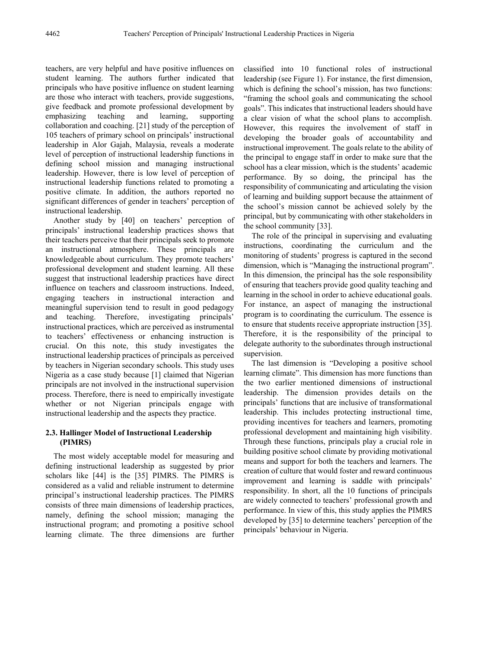teachers, are very helpful and have positive influences on student learning. The authors further indicated that principals who have positive influence on student learning are those who interact with teachers, provide suggestions, give feedback and promote professional development by emphasizing teaching and learning, supporting collaboration and coaching. [21] study of the perception of 105 teachers of primary school on principals' instructional leadership in Alor Gajah, Malaysia, reveals a moderate level of perception of instructional leadership functions in defining school mission and managing instructional leadership. However, there is low level of perception of instructional leadership functions related to promoting a positive climate. In addition, the authors reported no significant differences of gender in teachers' perception of instructional leadership.

Another study by [40] on teachers' perception of principals' instructional leadership practices shows that their teachers perceive that their principals seek to promote an instructional atmosphere. These principals are knowledgeable about curriculum. They promote teachers' professional development and student learning. All these suggest that instructional leadership practices have direct influence on teachers and classroom instructions. Indeed, engaging teachers in instructional interaction and meaningful supervision tend to result in good pedagogy and teaching. Therefore, investigating principals' instructional practices, which are perceived as instrumental to teachers' effectiveness or enhancing instruction is crucial. On this note, this study investigates the instructional leadership practices of principals as perceived by teachers in Nigerian secondary schools. This study uses Nigeria as a case study because [1] claimed that Nigerian principals are not involved in the instructional supervision process. Therefore, there is need to empirically investigate whether or not Nigerian principals engage with instructional leadership and the aspects they practice.

## **2.3. Hallinger Model of Instructional Leadership (PIMRS)**

The most widely acceptable model for measuring and defining instructional leadership as suggested by prior scholars like [44] is the [35] PIMRS. The PIMRS is considered as a valid and reliable instrument to determine principal's instructional leadership practices. The PIMRS consists of three main dimensions of leadership practices, namely, defining the school mission; managing the instructional program; and promoting a positive school learning climate. The three dimensions are further

classified into 10 functional roles of instructional leadership (see Figure 1). For instance, the first dimension, which is defining the school's mission, has two functions: "framing the school goals and communicating the school goals". This indicates that instructional leaders should have a clear vision of what the school plans to accomplish. However, this requires the involvement of staff in developing the broader goals of accountability and instructional improvement. The goals relate to the ability of the principal to engage staff in order to make sure that the school has a clear mission, which is the students' academic performance. By so doing, the principal has the responsibility of communicating and articulating the vision of learning and building support because the attainment of the school's mission cannot be achieved solely by the principal, but by communicating with other stakeholders in the school community [33].

The role of the principal in supervising and evaluating instructions, coordinating the curriculum and the monitoring of students' progress is captured in the second dimension, which is "Managing the instructional program". In this dimension, the principal has the sole responsibility of ensuring that teachers provide good quality teaching and learning in the school in order to achieve educational goals. For instance, an aspect of managing the instructional program is to coordinating the curriculum. The essence is to ensure that students receive appropriate instruction [35]. Therefore, it is the responsibility of the principal to delegate authority to the subordinates through instructional supervision.

The last dimension is "Developing a positive school learning climate". This dimension has more functions than the two earlier mentioned dimensions of instructional leadership. The dimension provides details on the principals' functions that are inclusive of transformational leadership. This includes protecting instructional time, providing incentives for teachers and learners, promoting professional development and maintaining high visibility. Through these functions, principals play a crucial role in building positive school climate by providing motivational means and support for both the teachers and learners. The creation of culture that would foster and reward continuous improvement and learning is saddle with principals' responsibility. In short, all the 10 functions of principals are widely connected to teachers' professional growth and performance. In view of this, this study applies the PIMRS developed by [35] to determine teachers' perception of the principals' behaviour in Nigeria.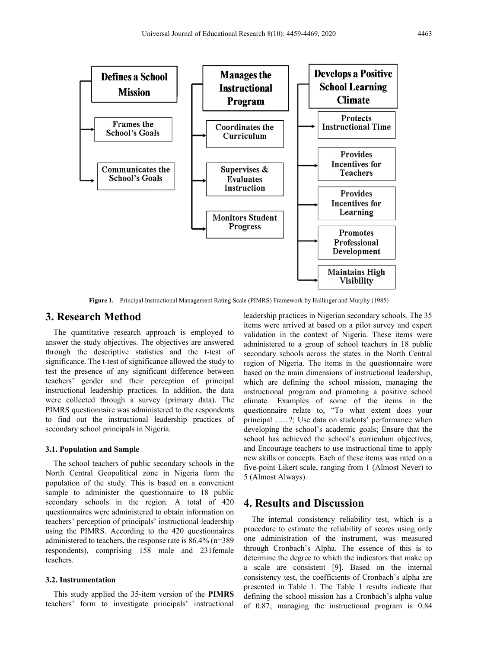

**Figure 1.** Principal Instructional Management Rating Scale (PIMRS) Framework by Hallinger and Murphy (1985)

## **3. Research Method**

The quantitative research approach is employed to answer the study objectives. The objectives are answered through the descriptive statistics and the t-test of significance. The t-test of significance allowed the study to test the presence of any significant difference between teachers' gender and their perception of principal instructional leadership practices. In addition, the data were collected through a survey (primary data). The PIMRS questionnaire was administered to the respondents to find out the instructional leadership practices of secondary school principals in Nigeria.

#### **3.1. Population and Sample**

The school teachers of public secondary schools in the North Central Geopolitical zone in Nigeria form the population of the study. This is based on a convenient sample to administer the questionnaire to 18 public secondary schools in the region. A total of 420 questionnaires were administered to obtain information on teachers' perception of principals' instructional leadership using the PIMRS. According to the 420 questionnaires administered to teachers, the response rate is 86.4% (n=389 respondents), comprising 158 male and 231female teachers.

### **3.2. Instrumentation**

This study applied the 35-item version of the **PIMRS**  teachers' form to investigate principals' instructional leadership practices in Nigerian secondary schools. The 35 items were arrived at based on a pilot survey and expert validation in the context of Nigeria. These items were administered to a group of school teachers in 18 public secondary schools across the states in the North Central region of Nigeria. The items in the questionnaire were based on the main dimensions of instructional leadership, which are defining the school mission, managing the instructional program and promoting a positive school climate. Examples of some of the items in the questionnaire relate to, "To what extent does your principal …...?; Use data on students' performance when developing the school's academic goals; Ensure that the school has achieved the school's curriculum objectives; and Encourage teachers to use instructional time to apply new skills or concepts. Each of these items was rated on a five-point Likert scale, ranging from 1 (Almost Never) to 5 (Almost Always).

## **4. Results and Discussion**

The internal consistency reliability test, which is a procedure to estimate the reliability of scores using only one administration of the instrument, was measured through Cronbach's Alpha. The essence of this is to determine the degree to which the indicators that make up a scale are consistent [9]. Based on the internal consistency test, the coefficients of Cronbach's alpha are presented in Table 1. The Table 1 results indicate that defining the school mission has a Cronbach's alpha value of 0.87; managing the instructional program is 0.84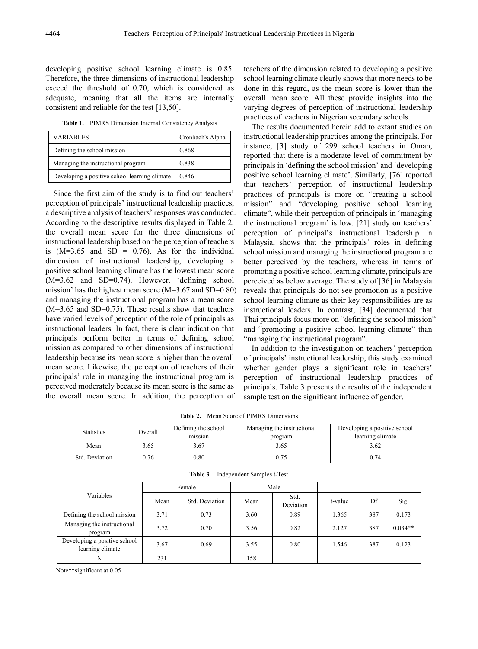developing positive school learning climate is 0.85. Therefore, the three dimensions of instructional leadership exceed the threshold of 0.70, which is considered as adequate, meaning that all the items are internally consistent and reliable for the test [13,50].

**Table 1.** PIMRS Dimension Internal Consistency Analysis

| <b>VARIABLES</b>                              | Cronbach's Alpha |
|-----------------------------------------------|------------------|
| Defining the school mission                   | 0.868            |
| Managing the instructional program            | 0.838            |
| Developing a positive school learning climate | 0.846            |

Since the first aim of the study is to find out teachers' perception of principals' instructional leadership practices, a descriptive analysis of teachers' responses was conducted. According to the descriptive results displayed in Table 2, the overall mean score for the three dimensions of instructional leadership based on the perception of teachers is  $(M=3.65$  and  $SD = 0.76$ ). As for the individual dimension of instructional leadership, developing a positive school learning climate has the lowest mean score (M=3.62 and SD=0.74). However, 'defining school mission' has the highest mean score (M=3.67 and SD=0.80) and managing the instructional program has a mean score (M=3.65 and SD=0.75). These results show that teachers have varied levels of perception of the role of principals as instructional leaders. In fact, there is clear indication that principals perform better in terms of defining school mission as compared to other dimensions of instructional leadership because its mean score is higher than the overall mean score. Likewise, the perception of teachers of their principals' role in managing the instructional program is perceived moderately because its mean score is the same as the overall mean score. In addition, the perception of

teachers of the dimension related to developing a positive school learning climate clearly shows that more needs to be done in this regard, as the mean score is lower than the overall mean score. All these provide insights into the varying degrees of perception of instructional leadership practices of teachers in Nigerian secondary schools.

The results documented herein add to extant studies on instructional leadership practices among the principals. For instance, [3] study of 299 school teachers in Oman, reported that there is a moderate level of commitment by principals in 'defining the school mission' and 'developing positive school learning climate'. Similarly, [76] reported that teachers' perception of instructional leadership practices of principals is more on "creating a school mission" and "developing positive school learning climate", while their perception of principals in 'managing the instructional program' is low. [21] study on teachers' perception of principal's instructional leadership in Malaysia, shows that the principals' roles in defining school mission and managing the instructional program are better perceived by the teachers, whereas in terms of promoting a positive school learning climate, principals are perceived as below average. The study of [36] in Malaysia reveals that principals do not see promotion as a positive school learning climate as their key responsibilities are as instructional leaders. In contrast, [34] documented that Thai principals focus more on "defining the school mission" and "promoting a positive school learning climate" than "managing the instructional program".

In addition to the investigation on teachers' perception of principals' instructional leadership, this study examined whether gender plays a significant role in teachers' perception of instructional leadership practices of principals. Table 3 presents the results of the independent sample test on the significant influence of gender.

**Table 2.** Mean Score of PIMRS Dimensions

| <b>Statistics</b> | Overall | Defining the school<br>Managing the instructional<br>mission<br>program |      | Developing a positive school<br>learning climate |  |  |
|-------------------|---------|-------------------------------------------------------------------------|------|--------------------------------------------------|--|--|
| Mean              | 3.65    | -67. د                                                                  | 3.65 | 3.62                                             |  |  |
| Std. Deviation    | 0.76    | 0.80                                                                    | 0.75 | 0.74                                             |  |  |

| Variables                                        | Female |                |      | Male              |         |     |           |
|--------------------------------------------------|--------|----------------|------|-------------------|---------|-----|-----------|
|                                                  | Mean   | Std. Deviation | Mean | Std.<br>Deviation | t-value | Df  | Sig.      |
| Defining the school mission                      | 3.71   | 0.73           | 3.60 | 0.89              | 1.365   | 387 | 0.173     |
| Managing the instructional<br>program            | 3.72   | 0.70           | 3.56 | 0.82              | 2.127   | 387 | $0.034**$ |
| Developing a positive school<br>learning climate | 3.67   | 0.69           | 3.55 | 0.80              | 1.546   | 387 | 0.123     |
| N                                                | 231    |                | 158  |                   |         |     |           |

**Table 3.** Independent Samples t-Test

Note\*\*significant at 0.05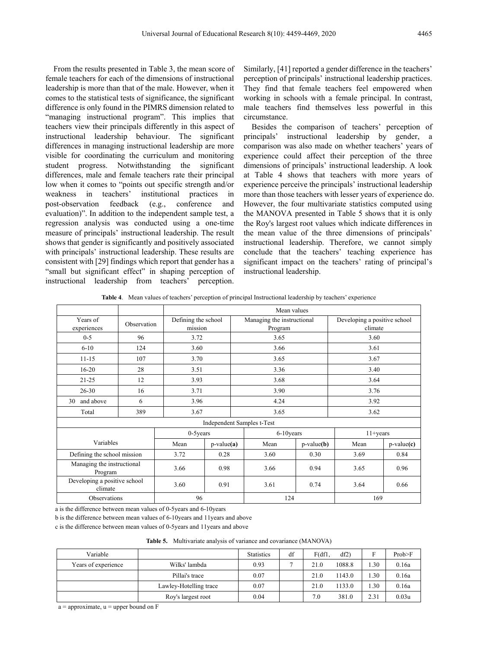From the results presented in Table 3, the mean score of female teachers for each of the dimensions of instructional leadership is more than that of the male. However, when it comes to the statistical tests of significance, the significant difference is only found in the PIMRS dimension related to "managing instructional program". This implies that teachers view their principals differently in this aspect of instructional leadership behaviour. The significant differences in managing instructional leadership are more visible for coordinating the curriculum and monitoring student progress. Notwithstanding the significant differences, male and female teachers rate their principal low when it comes to "points out specific strength and/or weakness in teachers' institutional practices in post-observation feedback (e.g., conference and evaluation)". In addition to the independent sample test, a regression analysis was conducted using a one-time measure of principals' instructional leadership. The result shows that gender is significantly and positively associated with principals' instructional leadership. These results are consistent with [29] findings which report that gender has a "small but significant effect" in shaping perception of instructional leadership from teachers' perception.

Similarly, [41] reported a gender difference in the teachers' perception of principals' instructional leadership practices. They find that female teachers feel empowered when working in schools with a female principal. In contrast, male teachers find themselves less powerful in this circumstance.

Besides the comparison of teachers' perception of principals' instructional leadership by gender, a comparison was also made on whether teachers' years of experience could affect their perception of the three dimensions of principals' instructional leadership. A look at Table 4 shows that teachers with more years of experience perceive the principals' instructional leadership more than those teachers with lesser years of experience do. However, the four multivariate statistics computed using the MANOVA presented in Table 5 shows that it is only the Roy's largest root values which indicate differences in the mean value of the three dimensions of principals' instructional leadership. Therefore, we cannot simply conclude that the teachers' teaching experience has significant impact on the teachers' rating of principal's instructional leadership.

**Table 4**. Mean values of teachers' perception of principal Instructional leadership by teachers' experience

|                                         |             |                                | Mean values  |                                       |              |                                         |              |  |  |
|-----------------------------------------|-------------|--------------------------------|--------------|---------------------------------------|--------------|-----------------------------------------|--------------|--|--|
| Years of<br>experiences                 | Observation | Defining the school<br>mission |              | Managing the instructional<br>Program |              | Developing a positive school<br>climate |              |  |  |
| $0 - 5$                                 | 96          | 3.72                           |              | 3.65                                  |              | 3.60                                    |              |  |  |
| $6 - 10$                                | 124         | 3.60                           |              | 3.66                                  |              | 3.61                                    |              |  |  |
| $11 - 15$                               | 107         | 3.70                           |              | 3.65                                  |              | 3.67                                    |              |  |  |
| $16-20$                                 | 28          | 3.51                           |              | 3.36                                  |              | 3.40                                    |              |  |  |
| $21 - 25$                               | 12          |                                | 3.93         |                                       |              | 3.64                                    |              |  |  |
| $26 - 30$                               | 16          | 3.71                           |              | 3.90                                  |              | 3.76                                    |              |  |  |
| and above<br>30                         | 6           | 3.96                           |              | 4.24                                  |              | 3.92                                    |              |  |  |
| Total                                   | 389         | 3.67                           |              | 3.65                                  |              | 3.62                                    |              |  |  |
|                                         |             |                                |              | Independent Samples t-Test            |              |                                         |              |  |  |
| $0-5$ years                             |             |                                |              |                                       |              | 6-10 years<br>$11 + \text{years}$       |              |  |  |
| Variables                               |             | Mean                           | $p-value(a)$ | Mean                                  | $p-value(b)$ | Mean                                    | $p-value(c)$ |  |  |
| Defining the school mission             |             | 3.72                           | 0.28         | 3.60                                  | 0.30         | 3.69                                    | 0.84         |  |  |
| Managing the instructional<br>Program   |             | 3.66                           | 0.98         | 3.66                                  | 0.94         | 3.65                                    | 0.96         |  |  |
| Developing a positive school<br>climate |             | 3.60                           | 0.91         | 3.61                                  | 0.74         | 3.64                                    | 0.66         |  |  |
| 96<br>Observations                      |             |                                | 124          |                                       | 169          |                                         |              |  |  |

a is the difference between mean values of 0-5years and 6-10years

b is the difference between mean values of 6-10years and 11years and above

c is the difference between mean values of 0-5years and 11years and above

**Table 5.** Multivariate analysis of variance and covariance (MANOVA)

| Variable            |                        | <b>Statistics</b> | df | F(df] | df2)   |      | Prob>F            |
|---------------------|------------------------|-------------------|----|-------|--------|------|-------------------|
| Years of experience | Wilks' lambda          | 0.93              |    | 21.0  | 1088.8 | .30  | 0.16a             |
|                     | Pillai's trace         | 0.07              |    | 21.0  | 143.0  | .30  | 0.16a             |
|                     | Lawley-Hotelling trace | 0.07              |    | 21.0  | 133.0  | .30  | 0.16a             |
|                     | Roy's largest root     | 0.04              |    | 7.0   | 381.0  | 2.31 | 0.03 <sub>u</sub> |

 $a =$  approximate,  $u =$  upper bound on  $F$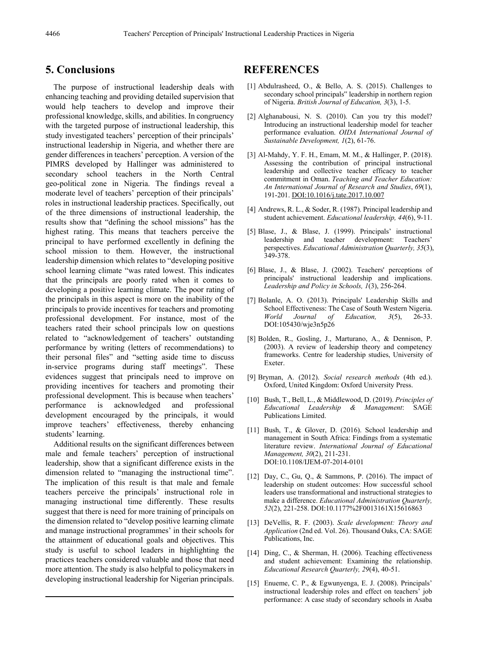## **5. Conclusions**

The purpose of instructional leadership deals with enhancing teaching and providing detailed supervision that would help teachers to develop and improve their professional knowledge, skills, and abilities. In congruency with the targeted purpose of instructional leadership, this study investigated teachers' perception of their principals' instructional leadership in Nigeria, and whether there are gender differences in teachers' perception. A version of the PIMRS developed by Hallinger was administered to secondary school teachers in the North Central geo-political zone in Nigeria. The findings reveal a moderate level of teachers' perception of their principals' roles in instructional leadership practices. Specifically, out of the three dimensions of instructional leadership, the results show that "defining the school missions" has the highest rating. This means that teachers perceive the principal to have performed excellently in defining the school mission to them. However, the instructional leadership dimension which relates to "developing positive school learning climate "was rated lowest. This indicates that the principals are poorly rated when it comes to developing a positive learning climate. The poor rating of the principals in this aspect is more on the inability of the principals to provide incentives for teachers and promoting professional development. For instance, most of the teachers rated their school principals low on questions related to "acknowledgement of teachers' outstanding performance by writing (letters of recommendations) to their personal files" and "setting aside time to discuss in-service programs during staff meetings". These evidences suggest that principals need to improve on providing incentives for teachers and promoting their professional development. This is because when teachers' performance is acknowledged and professional development encouraged by the principals, it would improve teachers' effectiveness, thereby enhancing students' learning.

Additional results on the significant differences between male and female teachers' perception of instructional leadership, show that a significant difference exists in the dimension related to "managing the instructional time". The implication of this result is that male and female teachers perceive the principals' instructional role in managing instructional time differently. These results suggest that there is need for more training of principals on the dimension related to "develop positive learning climate and manage instructional programmes' in their schools for the attainment of educational goals and objectives. This study is useful to school leaders in highlighting the practices teachers considered valuable and those that need more attention. The study is also helpful to policymakers in developing instructional leadership for Nigerian principals.

## **REFERENCES**

- [1] Abdulrasheed, O., & Bello, A. S. (2015). Challenges to secondary school principals" leadership in northern region of Nigeria. *British Journal of Education, 3*(3), 1-5.
- [2] Alghanabousi, N. S. (2010). Can you try this model? Introducing an instructional leadership model for teacher performance evaluation. *OIDA International Journal of Sustainable Development, 1*(2), 61-76.
- [3] Al-Mahdy, Y. F. H., Emam, M. M., & Hallinger, P. (2018). Assessing the contribution of principal instructional leadership and collective teacher efficacy to teacher commitment in Oman. *Teaching and Teacher Education: An International Journal of Research and Studies*, *69*(1), 191-201[. DOI:10.1016/j.tate.2017.10.007](http://dx.doi.org/10.1016/j.tate.2017.10.007)
- [4] Andrews, R. L., & Soder, R. (1987). Principal leadership and student achievement. *Educational leadership, 44*(6), 9-11.
- [5] Blase, J., & Blase, J. (1999). Principals' instructional leadership and teacher development: Teachers' perspectives. *Educational Administration Quarterly, 35*(3), 349-378.
- [6] Blase, J., & Blase, J. (2002). Teachers' perceptions of principals' instructional leadership and implications. *Leadership and Policy in Schools, 1*(3), 256-264.
- [7] Bolanle, A. O. (2013). Principals' Leadership Skills and School Effectiveness: The Case of South Western Nigeria. *World Journal of Education, 3*(5), 26-33. DOI:105430/wje3n5p26
- [8] Bolden, R., Gosling, J., Marturano, A., & Dennison, P. (2003). A review of leadership theory and competency frameworks. Centre for leadership studies, University of Exeter.
- [9] Bryman, A. (2012). *Social research methods* (4th ed.). Oxford, United Kingdom: Oxford University Press.
- [10] Bush, T., Bell, L., & Middlewood, D. (2019). *Principles of Educational Leadership & Management*: SAGE Publications Limited.
- [11] Bush, T., & Glover, D. (2016). School leadership and management in South Africa: Findings from a systematic literature review. *International Journal of Educational Management, 30*(2), 211-231. DOI:10.1108/IJEM-07-2014-0101
- [12] Day, C., Gu, Q., & Sammons, P. (2016). The impact of leadership on student outcomes: How successful school leaders use transformational and instructional strategies to make a difference. *Educational Administration Quarterly, 52*(2), 221-258. DOI:10.1177%2F0013161X15616863
- [13] DeVellis, R. F. (2003). *Scale development: Theory and Application* (2nd ed. Vol. 26). Thousand Oaks, CA: SAGE Publications, Inc.
- [14] Ding, C., & Sherman, H. (2006). Teaching effectiveness and student achievement: Examining the relationship. *Educational Research Quarterly, 29*(4), 40-51.
- [15] Enueme, C. P., & Egwunyenga, E. J. (2008). Principals' instructional leadership roles and effect on teachers' job performance: A case study of secondary schools in Asaba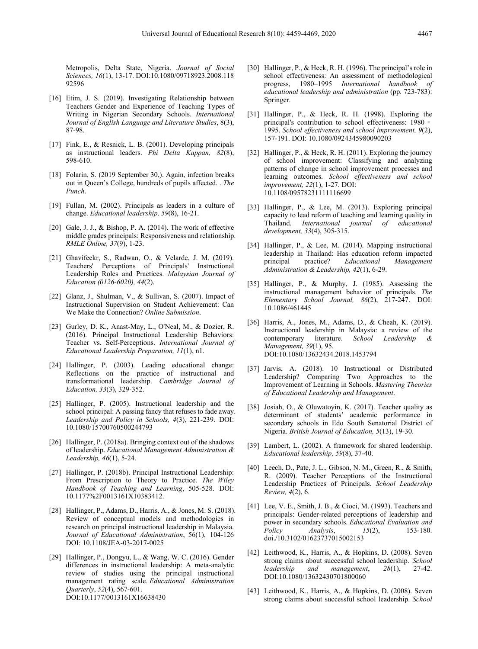Metropolis, Delta State, Nigeria. *Journal of Social Sciences, 16*(1), 13-17. DOI:10.1080/09718923.2008.118 92596

- [16] Etim, J. S. (2019). Investigating Relationship between Teachers Gender and Experience of Teaching Types of Writing in Nigerian Secondary Schools. *International Journal of English Language and Literature Studies*, 8(3), 87-98.
- [17] Fink, E., & Resnick, L. B. (2001). Developing principals as instructional leaders. *Phi Delta Kappan, 82*(8), 598-610.
- [18] Folarin, S. (2019 September 30,). Again, infection breaks out in Queen's College, hundreds of pupils affected. . *The Punch*.
- [19] Fullan, M. (2002). Principals as leaders in a culture of change. *Educational leadership, 59*(8), 16-21.
- [20] Gale, J. J., & Bishop, P. A. (2014). The work of effective middle grades principals: Responsiveness and relationship. *RMLE Online, 37*(9), 1-23.
- [21] Ghavifeekr, S., Radwan, O., & Velarde, J. M. (2019). Teachers' Perceptions of Principals' Instructional Leadership Roles and Practices. *Malaysian Journal of Education (0126-6020), 44*(2).
- [22] Glanz, J., Shulman, V., & Sullivan, S. (2007). Impact of Instructional Supervision on Student Achievement: Can We Make the Connection? *Online Submission*.
- [23] Gurley, D. K., Anast-May, L., O'Neal, M., & Dozier, R. (2016). Principal Instructional Leadership Behaviors: Teacher vs. Self-Perceptions. *International Journal of Educational Leadership Preparation, 11*(1), n1.
- [24] Hallinger, P. (2003). Leading educational change: Reflections on the practice of instructional and transformational leadership. *Cambridge Journal of Education, 33*(3), 329-352.
- [25] Hallinger, P. (2005). Instructional leadership and the school principal: A passing fancy that refuses to fade away. *Leadership and Policy in Schools, 4*(3), 221-239. DOI: 10.1080/15700760500244793
- [26] Hallinger, P. (2018a). Bringing context out of the shadows of leadership. *Educational Management Administration & Leadership, 46*(1), 5-24.
- [27] Hallinger, P. (2018b). Principal Instructional Leadership: From Prescription to Theory to Practice. *The Wiley Handbook of Teaching and Learning*, 505-528. DOI: 10.1177%2F0013161X10383412.
- [28] Hallinger, P., Adams, D., Harris, A., & Jones, M. S. (2018). Review of conceptual models and methodologies in research on principal instructional leadership in Malaysia. *Journal of Educational Administration*, 56(1), 104-126 DOI: 10.1108/JEA-03-2017-0025
- [29] Hallinger, P., Dongyu, L., & Wang, W. C. (2016). Gender differences in instructional leadership: A meta-analytic review of studies using the principal instructional management rating scale. *Educational Administration Quarterly*, *52*(4), 567-601. [DOI:10.1177/0013161X16638430](https://doi.org/10.1177%2F0013161X16638430)
- [30] Hallinger, P., & Heck, R. H. (1996). The principal's role in school effectiveness: An assessment of methodological progress, 1980–1995 *International handbook of educational leadership and administration* (pp. 723-783): Springer.
- [31] Hallinger, P., & Heck, R. H. (1998). Exploring the principal's contribution to school effectiveness: 1980 -1995. *School effectiveness and school improvement, 9*(2), 157-191. DOI: 10.1080/0924345980090203
- [32] Hallinger, P., & Heck, R. H. (2011). Exploring the journey of school improvement: Classifying and analyzing patterns of change in school improvement processes and learning outcomes. *School effectiveness and school improvement, 22*(1), 1-27. DOI: 10.1108/09578231111116699
- [33] Hallinger, P., & Lee, M. (2013). Exploring principal capacity to lead reform of teaching and learning quality in Thailand. *International journal of educational development, 33*(4), 305-315.
- [34] Hallinger, P., & Lee, M. (2014). Mapping instructional leadership in Thailand: Has education reform impacted<br>principal practice? Educational Management principal practice? *Educational Management Administration & Leadership, 42*(1), 6-29.
- [35] Hallinger, P., & Murphy, J. (1985). Assessing the instructional management behavior of principals. *The Elementary School Journal, 86*(2), 217-247. DOI: 10.1086/461445
- [36] Harris, A., Jones, M., Adams, D., & Cheah, K. (2019). Instructional leadership in Malaysia: a review of the contemporary literature. *School Leadership & Management, 39*(1), 95. DOI:10.1080/13632434.2018.1453794
- [37] Jarvis, A. (2018). 10 Instructional or Distributed Leadership? Comparing Two Approaches to the Improvement of Learning in Schools. *Mastering Theories of Educational Leadership and Management*.
- [38] Josiah, O., & Oluwatoyin, K. (2017). Teacher quality as determinant of students' academic performance in secondary schools in Edo South Senatorial District of Nigeria. *British Journal of Education, 5*(13), 19-30.
- [39] Lambert, L. (2002). A framework for shared leadership. *Educational leadership, 59*(8), 37-40.
- [40] Leech, D., Pate, J. L., Gibson, N. M., Green, R., & Smith, R. (2009). Teacher Perceptions of the Instructional Leadership Practices of Principals. *School Leadership Review, 4*(2), 6.
- [41] Lee, V. E., Smith, J. B., & Cioci, M. (1993). Teachers and principals: Gender-related perceptions of leadership and power in secondary schools. *Educational Evaluation and Policy Analysis*, *15*(2), 153-180. doi./10.3102/01623737015002153
- [42] Leithwood, K., Harris, A., & Hopkins, D. (2008). Seven strong claims about successful school leadership. *School leadership and management*, *28*(1), 27-42. DOI:10.1080/13632430701800060
- [43] Leithwood, K., Harris, A., & Hopkins, D. (2008). Seven strong claims about successful school leadership. *School*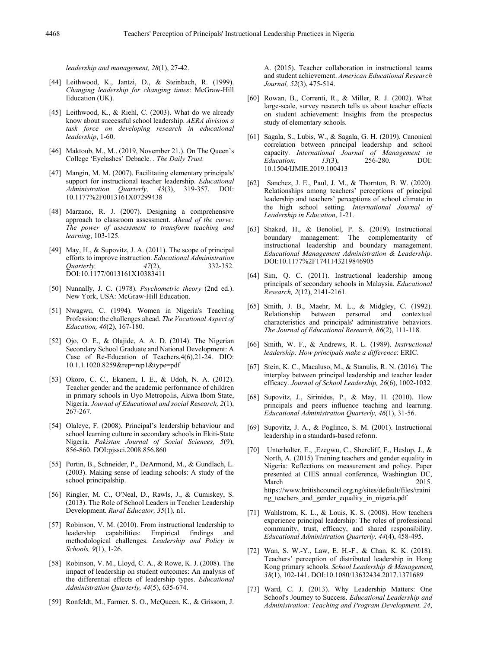*leadership and management, 28*(1), 27-42.

- [44] Leithwood, K., Jantzi, D., & Steinbach, R. (1999). *Changing leadership for changing times*: McGraw-Hill Education (UK).
- [45] Leithwood, K., & Riehl, C. (2003). What do we already know about successful school leadership. *AERA division a task force on developing research in educational leadership*, 1-60.
- [46] Maktoub, M., M.. (2019, November 21.). On The Queen's College 'Eyelashes' Debacle. . *The Daily Trust.*
- [47] Mangin, M. M. (2007). Facilitating elementary principals' support for instructional teacher leadership. *Educational Administration Quarterly, 43*(3), 319-357. DOI: 10.1177%2F0013161X07299438
- [48] Marzano, R. J. (2007). Designing a comprehensive approach to classroom assessment. *Ahead of the curve: The power of assessment to transform teaching and learning*, 103-125.
- [49] May, H., & Supovitz, J. A. (2011). The scope of principal efforts to improve instruction. *Educational Administration Quarterly,* DOI:10.1177/0013161X10383411
- [50] Nunnally, J. C. (1978). *Psychometric theory* (2nd ed.). New York, USA: McGraw-Hill Education.
- [51] Nwagwu, C. (1994). Women in Nigeria's Teaching Profession: the challenges ahead. *The Vocational Aspect of Education, 46*(2), 167-180.
- [52] Ojo, O. E., & Olajide, A. A. D. (2014). The Nigerian Secondary School Graduate and National Development: A Case of Re-Education of Teachers,4(6),21-24. DIO: 10.1.1.1020.8259&rep=rep1&type=pdf
- [53] Okoro, C. C., Ekanem, I. E., & Udoh, N. A. (2012). Teacher gender and the academic performance of children in primary schools in Uyo Metropolis, Akwa Ibom State, Nigeria. *Journal of Educational and social Research, 2*(1), 267-267.
- [54] Olaleye, F. (2008). Principal's leadership behaviour and school learning culture in secondary schools in Ekiti-State Nigeria. *Pakistan Journal of Social Sciences, 5*(9), 856-860. DOI:pjssci.2008.856.860
- [55] Portin, B., Schneider, P., DeArmond, M., & Gundlach, L. (2003). Making sense of leading schools: A study of the school principalship.
- [56] Ringler, M. C., O'Neal, D., Rawls, J., & Cumiskey, S. (2013). The Role of School Leaders in Teacher Leadership Development. *Rural Educator, 35*(1), n1.
- [57] Robinson, V. M. (2010). From instructional leadership to leadership capabilities: Empirical findings and methodological challenges. *Leadership and Policy in Schools, 9*(1), 1-26.
- [58] Robinson, V. M., Lloyd, C. A., & Rowe, K. J. (2008). The impact of leadership on student outcomes: An analysis of the differential effects of leadership types. *Educational Administration Quarterly, 44*(5), 635-674.
- [59] Ronfeldt, M., Farmer, S. O., McQueen, K., & Grissom, J.

A. (2015). Teacher collaboration in instructional teams and student achievement. *American Educational Research Journal, 52*(3), 475-514.

- [60] Rowan, B., Correnti, R., & Miller, R. J. (2002). What large-scale, survey research tells us about teacher effects on student achievement: Insights from the prospectus study of elementary schools.
- [61] Sagala, S., Lubis, W., & Sagala, G. H. (2019). Canonical correlation between principal leadership and school capacity. *International Journal of Management in Education, 13*(3), 256-280. DOI: 10.1504/IJMIE.2019.100413
- [62] Sanchez, J. E., Paul, J. M., & Thornton, B. W. (2020). Relationships among teachers' perceptions of principal leadership and teachers' perceptions of school climate in the high school setting. *International Journal of Leadership in Education*, 1-21.
- [63] Shaked, H., & Benoliel, P. S. (2019). Instructional boundary management: The complementarity instructional leadership and boundary management. *Educational Management Administration & Leadership*. DOI:10.1177%2F1741143219846905
- [64] Sim, Q. C. (2011). Instructional leadership among principals of secondary schools in Malaysia. *Educational Research, 2*(12), 2141-2161.
- [65] Smith, J. B., Maehr, M. L., & Midgley, C. (1992). Relationship between personal and contextual characteristics and principals' administrative behaviors. *The Journal of Educational Research, 86*(2), 111-118.
- [66] Smith, W. F., & Andrews, R. L. (1989). *Instructional leadership: How principals make a difference*: ERIC.
- [67] Stein, K. C., Macaluso, M., & Stanulis, R. N. (2016). The interplay between principal leadership and teacher leader efficacy. *Journal of School Leadership, 26*(6), 1002-1032.
- [68] Supovitz, J., Sirinides, P., & May, H. (2010). How principals and peers influence teaching and learning. *Educational Administration Quarterly, 46*(1), 31-56.
- [69] Supovitz, J. A., & Poglinco, S. M. (2001). Instructional leadership in a standards-based reform.
- [70] Unterhalter, E., ,Ezegwu, C., Shercliff, E., Heslop, J., & North, A. (2015) Training teachers and gender equality in Nigeria: Reflections on measurement and policy. Paper presented at CIES annual conference, Washington DC, March 2015. https://www.britishcouncil.org.ng/sites/default/files/traini ng teachers and gender equality in nigeria.pdf
- [71] Wahlstrom, K. L., & Louis, K. S. (2008). How teachers experience principal leadership: The roles of professional community, trust, efficacy, and shared responsibility. *Educational Administration Quarterly, 44*(4), 458-495.
- [72] Wan, S. W.-Y., Law, E. H.-F., & Chan, K. K. (2018). Teachers' perception of distributed leadership in Hong Kong primary schools. *School Leadership & Management, 38*(1), 102-141. DOI:10.1080/13632434.2017.1371689
- [73] Ward, C. J. (2013). Why Leadership Matters: One School's Journey to Success. *Educational Leadership and Administration: Teaching and Program Development, 24*,